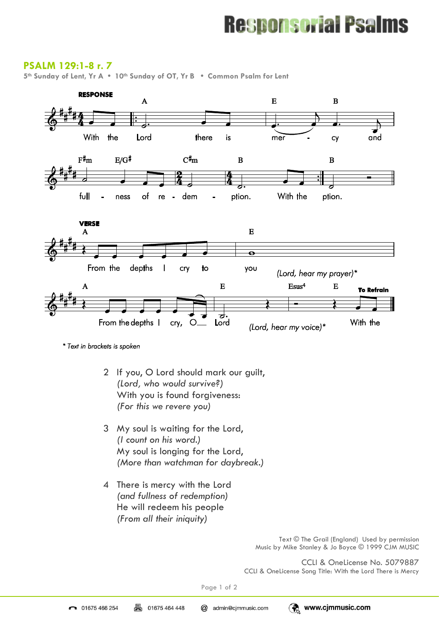# **Responsorial Psalms**

### **PSALM 129:1-8 r. 7**

**5th Sunday of Lent, Yr A • 10th Sunday of OT, Yr B • Common Psalm for Lent** 



<sup>\*</sup> Text in brackets is spoken

- 2 If you, O Lord should mark our guilt, *(Lord, who would survive?)* With you is found forgiveness: *(For this we revere you)*
- 3 My soul is waiting for the Lord, *(I count on his word.)* My soul is longing for the Lord, *(More than watchman for daybreak.)*
- 4 There is mercy with the Lord *(and fullness of redemption)* He will redeem his people *(From all their iniquity)*

Text © The Grail (England) Used by permission Music by Mike Stanley & Jo Boyce © 1999 CJM MUSIC

CCLI & OneLicense No. 5079887 CCLI & OneLicense Song Title: With the Lord There is Mercy

Page 1 of 2